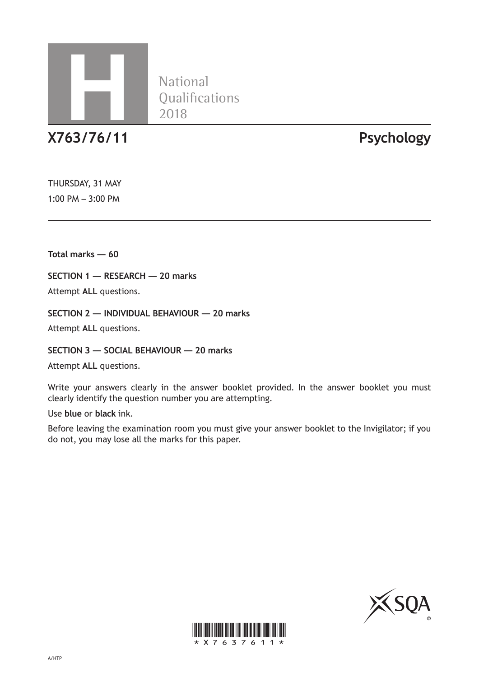

National<br>Qualifications

**X763/76/11 Psychology**

THURSDAY, 31 MAY 1:00 PM – 3:00 PM

**Total marks — 60**

**SECTION 1 — RESEARCH — 20 marks**

Attempt **ALL** questions.

**SECTION 2 — INDIVIDUAL BEHAVIOUR — 20 marks**

Attempt **ALL** questions.

**SECTION 3 — SOCIAL BEHAVIOUR — 20 marks**

Attempt **ALL** questions.

Write your answers clearly in the answer booklet provided. In the answer booklet you must clearly identify the question number you are attempting.

Use **blue** or **black** ink.

Before leaving the examination room you must give your answer booklet to the Invigilator; if you do not, you may lose all the marks for this paper.



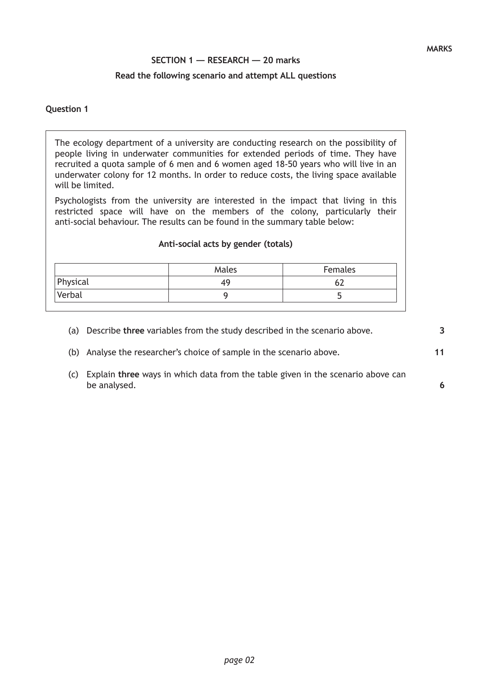# **SECTION 1 — RESEARCH — 20 marks**

## **Read the following scenario and attempt ALL questions**

## **Question 1**

The ecology department of a university are conducting research on the possibility of people living in underwater communities for extended periods of time. They have recruited a quota sample of 6 men and 6 women aged 18-50 years who will live in an underwater colony for 12 months. In order to reduce costs, the living space available will be limited.

Psychologists from the university are interested in the impact that living in this restricted space will have on the members of the colony, particularly their anti-social behaviour. The results can be found in the summary table below:

#### **Anti-social acts by gender (totals)**

|          | Males | Females |
|----------|-------|---------|
| Physical | 44    |         |
| Verbal   |       |         |

- (a) Describe **three** variables from the study described in the scenario above.
- (b) Analyse the researcher's choice of sample in the scenario above.
- (c) Explain **three** ways in which data from the table given in the scenario above can be analysed.

**3**

**11**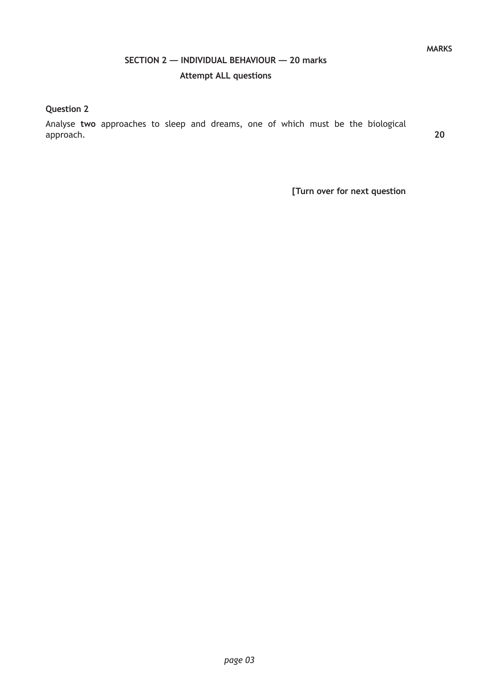# **SECTION 2 — INDIVIDUAL BEHAVIOUR — 20 marks Attempt ALL questions**

# **Question 2**

Analyse **two** approaches to sleep and dreams, one of which must be the biological approach.

**20**

**MARKS**

**[Turn over for next question**